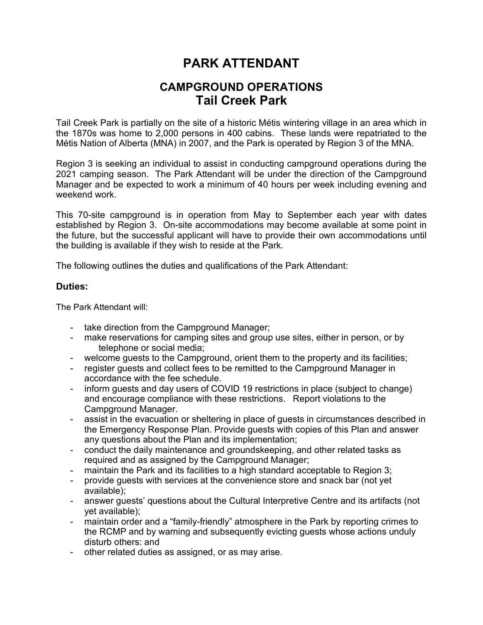## **PARK ATTENDANT**

## **CAMPGROUND OPERATIONS Tail Creek Park**

Tail Creek Park is partially on the site of a historic Métis wintering village in an area which in the 1870s was home to 2,000 persons in 400 cabins. These lands were repatriated to the Métis Nation of Alberta (MNA) in 2007, and the Park is operated by Region 3 of the MNA.

Region 3 is seeking an individual to assist in conducting campground operations during the 2021 camping season. The Park Attendant will be under the direction of the Campground Manager and be expected to work a minimum of 40 hours per week including evening and weekend work.

This 70-site campground is in operation from May to September each year with dates established by Region 3. On-site accommodations may become available at some point in the future, but the successful applicant will have to provide their own accommodations until the building is available if they wish to reside at the Park.

The following outlines the duties and qualifications of the Park Attendant:

## **Duties:**

The Park Attendant will:

- take direction from the Campground Manager;
- make reservations for camping sites and group use sites, either in person, or by telephone or social media;
- welcome guests to the Campground, orient them to the property and its facilities;
- register guests and collect fees to be remitted to the Campground Manager in accordance with the fee schedule.
- inform guests and day users of COVID 19 restrictions in place (subject to change) and encourage compliance with these restrictions. Report violations to the Campground Manager.
- assist in the evacuation or sheltering in place of guests in circumstances described in the Emergency Response Plan. Provide guests with copies of this Plan and answer any questions about the Plan and its implementation;
- conduct the daily maintenance and groundskeeping, and other related tasks as required and as assigned by the Campground Manager;
- maintain the Park and its facilities to a high standard acceptable to Region 3;
- provide guests with services at the convenience store and snack bar (not yet available);
- answer guests' questions about the Cultural Interpretive Centre and its artifacts (not yet available);
- maintain order and a "family-friendly" atmosphere in the Park by reporting crimes to the RCMP and by warning and subsequently evicting guests whose actions unduly disturb others: and
- other related duties as assigned, or as may arise.